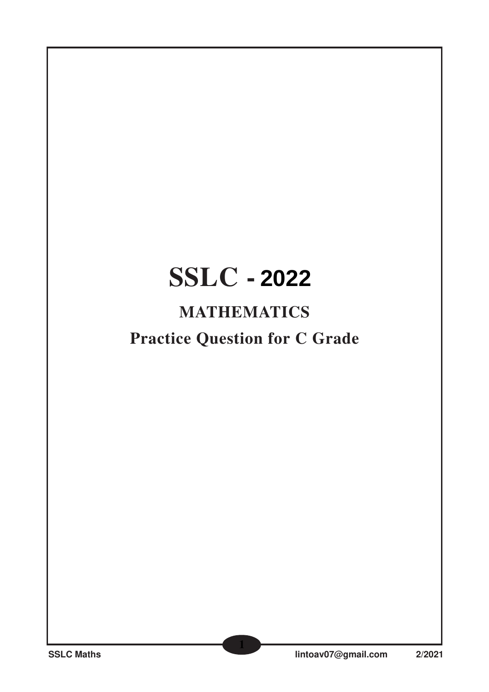# **SSLC - 2021 2022**

## **MATHEMATICS**

## **Practice Question for C Grade**

**1**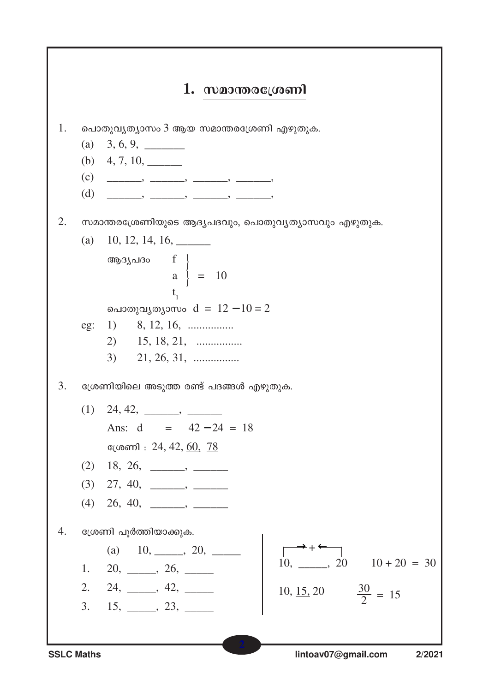

**SSLC Maths**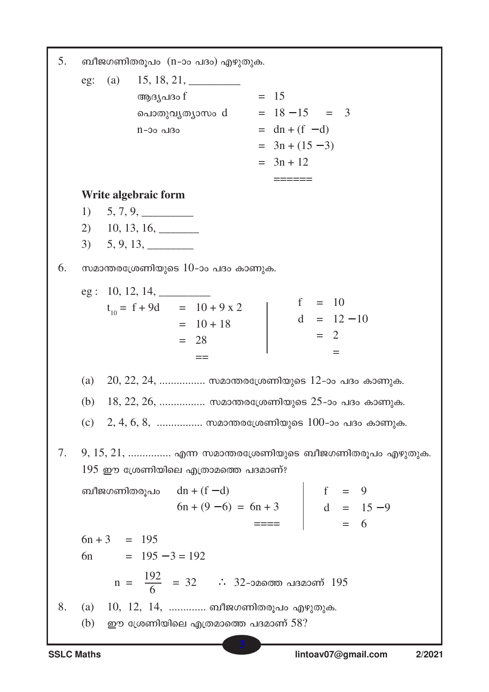$5<sub>1</sub>$ ബീജഗണിതരൂപം (n-ാം പദം) എഴുതുക.  $eg: (a)$  $15, 18, 21,$  $= 15$ ആദ്യപദം f പൊതുവൃത്യാസം  $d = 18 - 15 = 3$  $n$ -ാം പദം  $=$  dn + (f - d)  $= 3n + (15 - 3)$  $= 3n + 12$  $=$   $=$   $=$   $=$   $=$   $=$ Write algebraic form  $5, 7, 9,$ 1)  $3) 5, 9, 13, \underline{\hspace{1.5cm}}$ 6. സമാന്തരശ്രേണിയുടെ  $10$ -ാം പദം കാണുക. eg: 10, 12, 14,  $\overline{\phantom{0}}$  $f = 10$  $t_{10} = f + 9d = 10 + 9 \times 2$  $d = 12 - 10$  $= 10 + 18$  $= 2$  $= 28$  $=$  $=$  $(a)$  $20, 22, 24, \ldots$ .............. സമാന്തരശ്രേണിയുടെ 12-ാം പദം കാണുക.  $(b)$  18, 22, 26, ................. സമാന്തരശ്രേണിയുടെ 25-ാം പദം കാണുക. 2, 4, 6, 8, ................. സമാന്തരശ്രേണിയുടെ  $100$ -ാം പദം കാണുക.  $(c)$ 7.  $9, 15, 21, \ldots$  എന്ന സമാന്തരശ്രേണിയുടെ ബീജഗണിതരുപം എഴുതുക.  $195$  ഈ ശ്രേണിയിലെ എത്രാമത്തെ പദമാണ്? ബീജഗണിതരൂപം  $dn + (f - d)$  $f = 9$  $d = 15 - 9$  $6n + (9-6) = 6n + 3$ 6  $6n + 3 = 195$  $= 195 - 3 = 192$  $6n$  $n = \frac{192}{6} = 32$  : 32-ാമത്തെ പദമാണ് 195 8.  $(a)$  $10, 12, 14, \ldots$ ........... ബീജഗണിതരൂപം എഴുതുക. (b) ഈ ശ്രേണിയിലെ എത്രമാത്തെ പദമാണ്  $58$ ?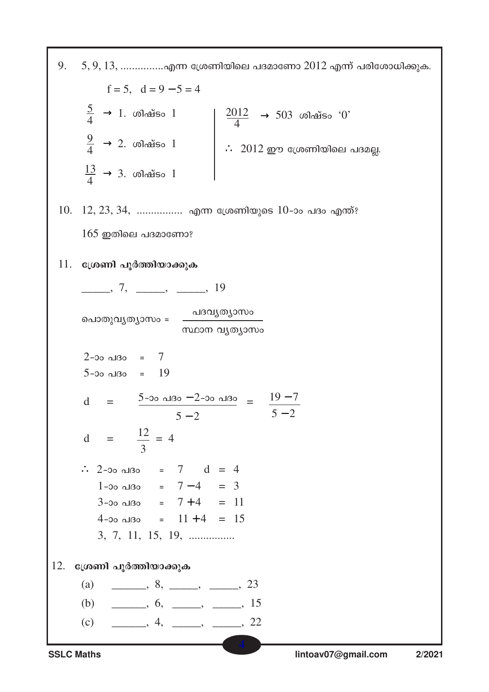| 9.<br>$5, 9, 13, \ldots$ എന്ന ശ്രേണിയിലെ പദമാണോ $2012$ എന്ന് പരിശോധിക്കുക.                                       |  |  |
|------------------------------------------------------------------------------------------------------------------|--|--|
| $f = 5$ , $d = 9 - 5 = 4$                                                                                        |  |  |
| $\frac{5}{4}$ $\rightarrow$ 1. ശിഷ്ടം 1<br>$\frac{2012}{4}$<br>$\rightarrow$ 503 ശിഷ്ടം ' $0$ '                  |  |  |
| $\frac{9}{4}$ $\rightarrow$ 2. ശിഷ്ടം 1<br>$\therefore$ 2012 ഈ ശ്രേണിയിലെ പദമല്ല.                                |  |  |
| $\frac{13}{4}$ $\rightarrow$ 3. ശിഷ്ടം 1                                                                         |  |  |
| $12, 23, 34,$ എന്ന ശ്രേണിയുടെ $10$ -ാം പദം എന്ത്?<br>10.                                                         |  |  |
| $165$ ഇതിലെ പദമാണോ?                                                                                              |  |  |
| 11.<br>ശ്രേണി പൂർത്തിയാക്കുക                                                                                     |  |  |
| <u>_______,</u> 7, ______, _____, 19                                                                             |  |  |
| പദവ്യത്യാസം<br>പൊതുവൃത്യാസം =<br>സ്ഥാന വൃത്യാസം                                                                  |  |  |
| $2$ -00 പദം = 7<br>$5-20$ algo = $19$                                                                            |  |  |
| $rac{5-00 \text{ } \triangle 130 - 2 - 00 \text{ } \triangle 130}{5-2} = \frac{19-7}{5-2}$<br>$\mathbf d$<br>$=$ |  |  |
| d = $\frac{12}{3}$ = 4                                                                                           |  |  |
| $2$ -00 alßo = 7 d = 4<br>$\mathcal{L}_{\mathcal{L}}$                                                            |  |  |
| $1-30$ all $30 = 7-4 = 3$                                                                                        |  |  |
| $3-00$ all $30 = 7+4 = 11$                                                                                       |  |  |
| $4-00$ algo = $11+4 = 15$<br>$3, 7, 11, 15, 19, \dots$                                                           |  |  |
|                                                                                                                  |  |  |
| 12.<br>ശ്രേണി പൂർത്തിയാക്കുക                                                                                     |  |  |
| $\frac{1}{1}$ , 8, $\frac{1}{1}$ , $\frac{1}{1}$ , 23<br>(a)                                                     |  |  |
| $\frac{\ }{1}$ , 6, $\frac{\ }{1}$ , $\frac{15}{1}$<br>(b)                                                       |  |  |
| (c)                                                                                                              |  |  |
| <b>SSLC Maths</b><br>lintoav07@gmail.com<br>2/2021                                                               |  |  |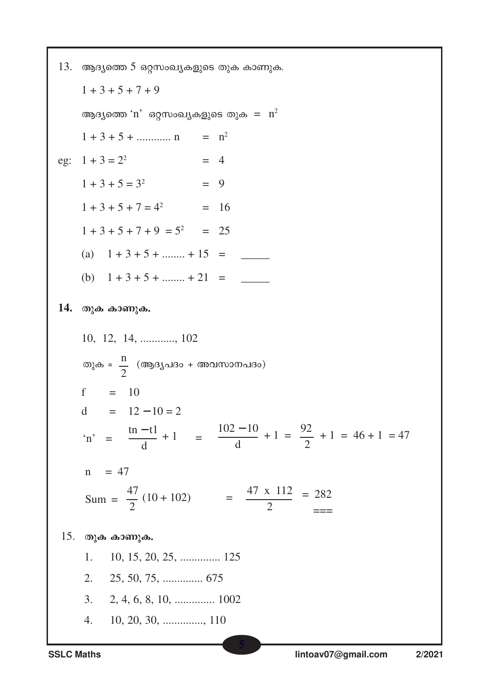13. ആദ്യത്തെ 5 ഒറ്റസംഖ്യകളുടെ തുക കാണുക.  $1+3+5+7+9$ ആദ്യത്തെ 'n' ഒറ്റസംഖ്യകളുടെ തുക $=$  n<sup>2</sup>  $1 + 3 + 5 + \dots$  n =  $n^2$ eg:  $1 + 3 = 2^2$  $= 4$  $1+3+5=3^2 = 9$  $1 + 3 + 5 + 7 = 4^2 = 16$  $1+3+5+7+9=5^2 = 25$ (a)  $1+3+5+...+15 =$ (b)  $1+3+5+...+21 =$ 14. തുക കാണുക. തുക =  $\frac{n}{2}$  (ആദൃപദം + അവസാനപദം) f =  $10$  $d = 12 - 10 = 2$ 'n' =  $\frac{\text{tn}-\text{t1}}{\text{d}}+1$  =  $\frac{102-10}{\text{d}}+1$  =  $\frac{92}{2}+1$  = 46 + 1 = 47  $n = 47$ Sum =  $\frac{47}{2}$  (10 + 102) =  $\frac{47 \times 112}{2}$  = 282  $15.$  തുക കാണുക. 10, 15, 20, 25, ............... 125 1.  $2.$  $3.$  $10, 20, 30, \ldots$  110 4.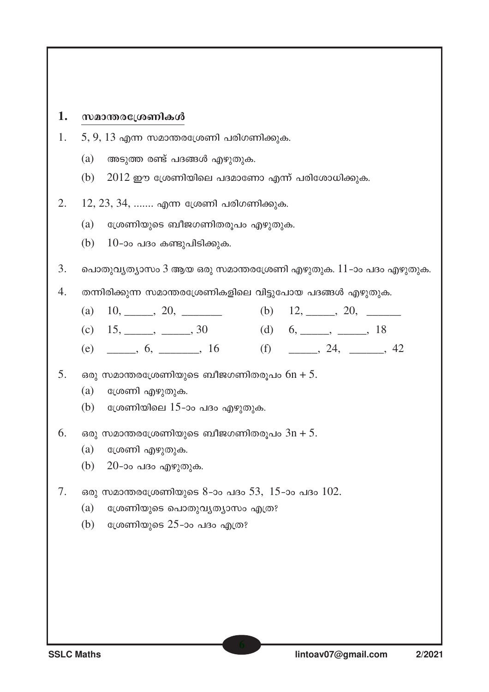#### 1. സമാന്തരശ്രേണികൾ

- 1. 5,  $9$ ,  $13$  എന്ന സമാന്തരശ്രേണി പരിഗണിക്കുക.
	- (a) അടുത്ത രണ്ട് പദങ്ങൾ എഴുതുക.
	- (b)  $2012$  ഈ ശ്രേണിയിലെ പദമാണോ എന്ന് പരിശോധിക്കുക.
- 2.  $12, 23, 34, \ldots$ ...... എന്ന ശ്രേണി പരിഗണിക്കുക.
	- $(a)$  ശ്രേണിയുടെ ബീജഗണിതരൂപം എഴുതുക.
	- (b)  $10$ -ാം പദം കണ്ടുപിടിക്കുക.
- $3.$  ചൊതുവൃത്യാസം  $3$  ആയ ഒരു സമാന്തരശ്രേണി എഴുതുക.  $11$ -ാം പദം എഴുതുക.
- $4.$  തന്നിരിക്കുന്ന സമാന്തരശ്രേണികളിലെ വിട്ടുപോയ പദങ്ങൾ എഴുതുക.
	- (a)  $10,$   $20,$   $(b)$   $12,$   $20,$
	- (c)  $15, \_\_\_\_$ ,  $30 \_\_\_$  (d)  $6, \_\_\_\_$ ,  $\_\_\_$  18
	- (e)  $\qquad \qquad , 6, \qquad \qquad , 16$  (f)  $\qquad \qquad , 24, \qquad \qquad , 42$
- $5.$  ഒരു സമാന്തരശ്രേണിയുടെ ബീജഗണിതരുപം  $6n + 5.$ 
	- $(a)$  ധ്രേണി എഴുതുക.
	- (b) ശ്രേണിയിലെ  $15$ -ാം പദം എഴുതുക.
- $6.$  ഒരു സമാന്തരശ്രേണിയുടെ ബീജഗണിതരുപം  $3n + 5.$ 
	- $(a)$  ഭശ്രണി എഴുതുക.
	- $(b)$  20-ാം പദം എഴുതുക.
- 7. ഒരു സമാന്തരശ്രേണിയുടെ 8-ാം പദം 53, 15-ാം പദം  $102$ .
	- $(a)$  ്രേണിയുടെ പൊതുവൃത്യാസം എത്ര?
	- (b) ധ്രേണിയുടെ 25-ാം പദം എത്ര?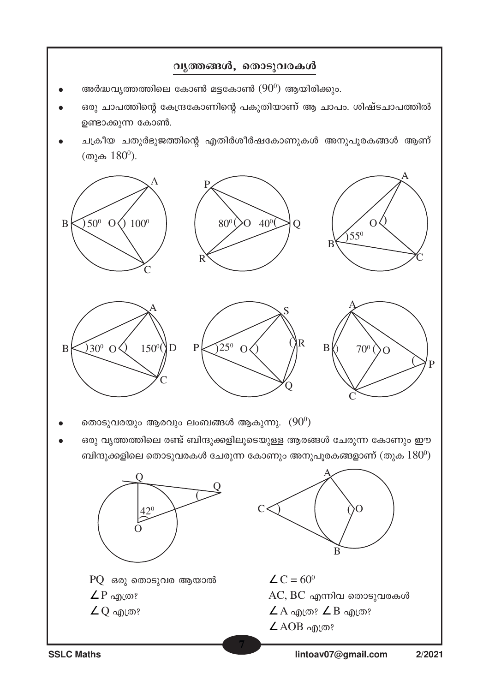



**SSLC Maths lintoav07@gmail.com 2/2021**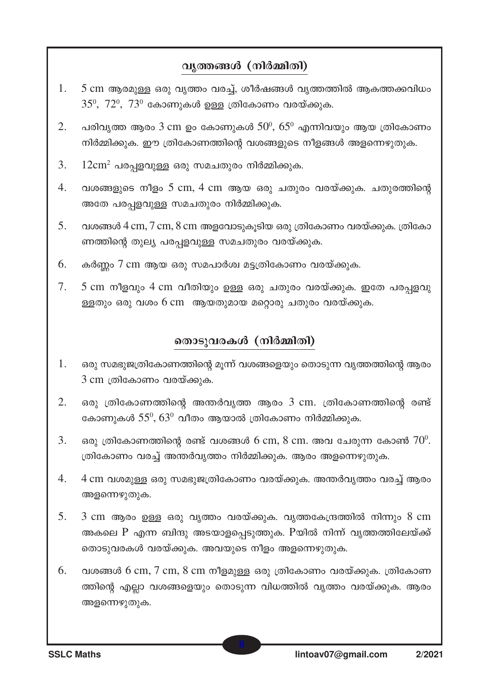#### വൃത്തങ്ങൾ (നിർമ്മിതി)

- $1<sub>1</sub>$ 5 cm ആരമുള്ള ഒരു വൃത്തം വരച്ച്, ശീർഷങ്ങൾ വൃത്തത്തിൽ ആകത്തക്കവിധം  $35^0$ ,  $72^0$ ,  $73^0$  കോണുകൾ ഉള്ള ത്രികോണം വരയ്ക്കുക.
- $\overline{2}$ . പരിവ്യത്ത ആരം 3 cm ഉം കോണുകൾ  $50^{\circ}$ ,  $65^{\circ}$  എന്നിവയും ആയ ത്രികോണം നിർമ്മിക്കുക. ഈ ത്രികോണത്തിന്റെ വശങ്ങളുടെ നീളങ്ങൾ അളന്നെഴുതുക.
- 3.  $12 \text{cm}^2$  പരപ്പളവുള്ള ഒരു സമചതുരം നിർമ്മിക്കുക.
- വശങ്ങളുടെ നീളം 5 cm, 4 cm ആയ ഒരു ചതുരം വരയ്ക്കുക. ചതുരത്തിന്റെ  $\overline{4}$ . അതേ പരപ്പളവുള്ള സമചതുരം നിർമ്മിക്കുക.
- $5<sub>1</sub>$ വശങ്ങൾ  $4 \text{ cm}, 7 \text{ cm}, 8 \text{ cm}$  അളവോടുകൂടിയ ഒരു ത്രികോണം വരയ്ക്കുക. ത്രികോ ണത്തിന്റെ തുല്യ പരപ്പളവുള്ള സമചതുരം വരയ്ക്കുക.
- 6. കർണ്ണം 7 cm ആയ ഒരു സമപാർശ്വ മട്ടത്രികോണം വരയ്ക്കുക.
- 7. 5 cm നീളവും 4 cm വീതിയും ഉള്ള ഒരു ചതുരം വരയ്ക്കുക. ഇതേ പരപ്പളവു ള്ളതും ഒരു വശം 6 cm ആയതുമായ മറ്റൊരു ചതുരം വരയ്ക്കുക.

#### തൊടുവരകൾ (നിർമ്മിതി)

- 1. ഒരു സമഭുജത്രികോണത്തിന്റെ മുന്ന് വശങ്ങളെയും തൊടുന്ന വൃത്തത്തിന്റെ ആരം 3 cm ത്രികോണം വരയ്ക്കുക.
- $\overline{2}$ . ഒരു ത്രികോണത്തിന്റെ അന്തർവ്യത്ത ആരം 3 cm. ത്രികോണത്തിന്റെ രണ്ട് കോണുകൾ  $55^0$ ,  $63^0$  വീതം ആയാൽ ത്രികോണം നിർമ്മിക്കുക.
- $\overline{3}$ . ഒരു ത്രികോണത്തിന്റെ രണ്ട് വശങ്ങൾ 6 cm, 8 cm. അവ ചേരുന്ന കോൺ  $70^0$ . ത്രികോണം വരച്ച് അന്തർവൃത്തം നിർമ്മിക്കുക. ആരം അളന്നെഴുതുക.
- $\overline{4}$ . 4 cm വശമുള്ള ഒരു സമഭുജത്രികോണം വരയ്ക്കുക. അന്തർവൃത്തം വരച്ച് ആരം അളന്നെഴുതുക.
- $5<sub>1</sub>$  $3 \text{ cm}$  ആരം ഉള്ള ഒരു വ്യത്തം വരയ്ക്കുക. വ്യത്തകേന്ദ്രത്തിൽ നിന്നും  $8 \text{ cm}$ അകലെ P എന്ന ബിന്ദു അടയാളപ്പെടുത്തുക. Pയിൽ നിന്ന് വൃത്തത്തിലേയ്ക്ക് തൊടുവരകൾ വരയ്ക്കുക. അവയുടെ നീളം അളന്നെഴുതുക.
- 6. വശങ്ങൾ 6 cm, 7 cm, 8 cm നീളമുള്ള ഒരു ത്രികോണം വരയ്ക്കുക. ത്രികോണ ത്തിന്റെ എല്ലാ വശങ്ങളെയും തൊടുന്ന വിധത്തിൽ വൃത്തം വരയ്ക്കുക. ആരം അളന്നെഴുതുക.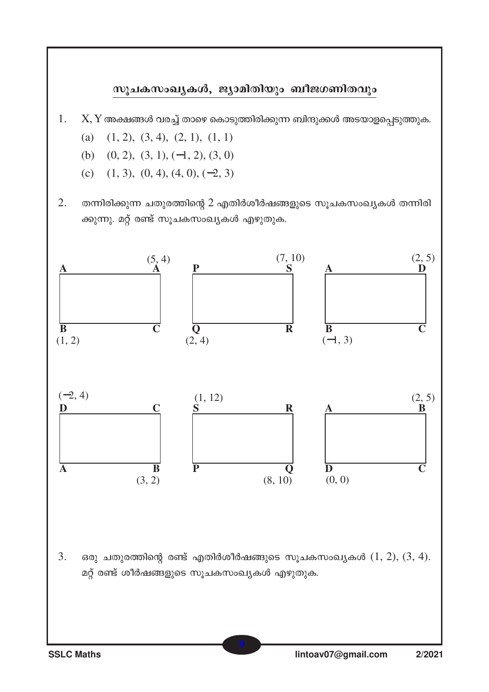#### സുചകസംഖ്യകൾ, ജ്യാമിതിയും ബീജഗണിതവും

- 1. X, Y അക്ഷങ്ങൾ വരച്ച് താഴെ കൊടുത്തിരിക്കുന്ന ബിന്ദുക്കൾ അടയാളപ്പെടുത്തുക.
	- (a)  $(1, 2), (3, 4), (2, 1), (1, 1)$
	- (b) (0, 2), (3, 1), (−1, 2), (3, 0)
	- (c)  $(1, 3), (0, 4), (4, 0), (-2, 3)$
- 2. തന്നിരിക്കുന്ന ചതുരത്തിന്റെ 2 എതിർശീർഷങ്ങളുടെ സൂചകസംഖ്യകൾ തന്നിരി ക്കുന്നു. മറ്റ് രണ്ട് സൂചകസംഖ്യകൾ എഴുതുക.

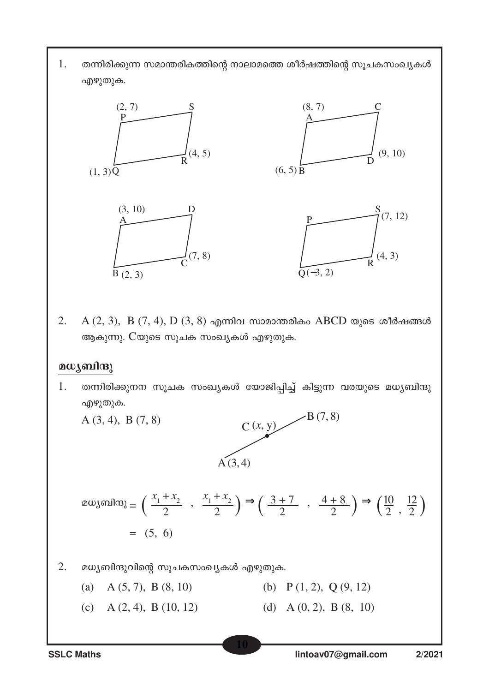$1.$  തന്നിരിക്കുന്ന സമാന്തരികത്തിന്റെ നാലാമത്തെ ശീർഷത്തിന്റെ സൂചകസംഖ്യകൾ എഴുതുക.



2. A  $(2, 3)$ , B  $(7, 4)$ , D  $(3, 8)$  എന്നിവ സാമാന്തരികം ABCD യുടെ ശീർഷങ്ങൾ ആകുന്നു. Cയുടെ സൂചക സംഖ്യകൾ എഴുതുക.

#### മധ്യബിന്ദു

1. തന്നിരിക്കുനന സൂചക സംഖ്യകൾ യോജിപ്പിച്ച് കിട്ടുന്ന വരയുടെ മധ്യബിന്ദു എഴുതുക.

A (3, 4), B (7, 8)

ø (*x*, y) C  $\angle B(7,8)$  $A(3, 4)$ 

$$
\text{augs, } \mathbf{a} \cdot \mathbf{a} = \left( \frac{x_1 + x_2}{2} , \frac{x_1 + x_2}{2} \right) \Rightarrow \left( \frac{3 + 7}{2} , \frac{4 + 8}{2} \right) \Rightarrow \left( \frac{10}{2} , \frac{12}{2} \right)
$$
\n
$$
= (5, 6)
$$

- $2.$  മധ്യബിന്ദുവിന്റെ സൂചകസംഖ്യകൾ എഴുതുക.
	- (a) A (5, 7), B (8, 10) (b) P (1, 2), Q (9, 12)
	- (c) A  $(2, 4)$ , B  $(10, 12)$  (d) A  $(0, 2)$ , B  $(8, 10)$

**10**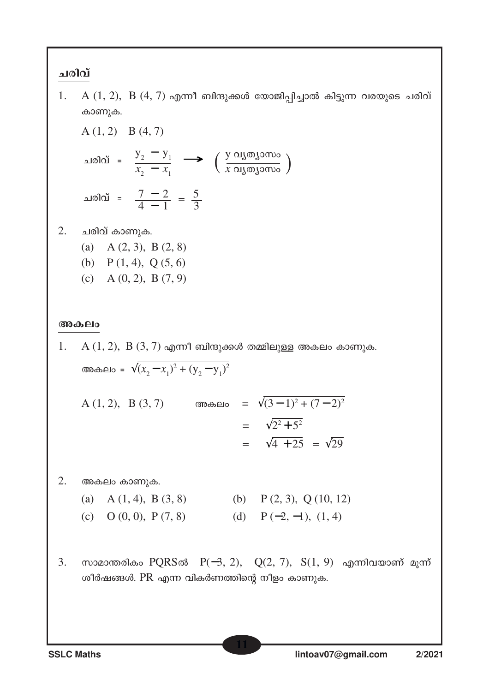#### ചരിവ്

 $1.$  A  $(1, 2)$ , B  $(4, 7)$  എന്നീ ബിന്ദുക്കൾ യോജിപ്പിച്ചാൽ കിട്ടുന്ന വരയുടെ ചരിവ് കാണുക.

A (1, 2) B (4, 7)  
\n
$$
\Delta \text{ and } \Delta \text{ is } \frac{y_2 - y_1}{x_2 - x_1} \longrightarrow \left(\frac{y \text{ or } y \text{ or } y}{x \text{ or } y \text{ or } y \text{ or } y \text{ or } y \text{ or } y \text{ or } y \text{ or } y \text{ or } y \text{ or } y \text{ or } y \text{ or } y \text{ or } y \text{ or } y \text{ or } y \text{ or } y \text{ or } y \text{ or } y \text{ or } y \text{ or } y \text{ or } y \text{ or } y \text{ or } y \text{ or } y \text{ or } y \text{ or } y \text{ or } y \text{ or } y \text{ or } y \text{ or } y \text{ or } y \text{ or } y \text{ or } y \text{ or } y \text{ or } y \text{ or } y \text{ or } y \text{ or } y \text{ or } y \text{ or } y \text{ or } y \text{ or } y \text{ or } y \text{ or } y \text{ or } y \text{ or } y \text{ or } y \text{ or } y \text{ or } y \text{ or } y \text{ or } y \text{ or } y \text{ or } y \text{ or } y \text{ or } y \text{ or } y \text{ or } y \text{ or } y \text{ or } y \text{ or } y \text{ or } y \text{ or } y \text{ or } y \text{ or } y \text{ or } y \text{ or } y \text{ or } y \text{ or } y \text{ or } y \text{ or } y \text{ or } y \text{ or } y \text{ or } y \text{ or } y \text{ or } y \text{ or } y \text{ or } y \text{ or } y \text{ or } y \text{ or } y \text{ or } y \text{ or } y \text{ or } y \text{ or } y \text{ or } y \text{ or } y \text{ or } y \text{ or } y \text{ or } y \text{ or } y \text{ or } y \text{ or } y \text{ or } y \text{ or } y \text{ or } y \text{ or } y \text{ or } y \text{ or } y \text{ or } y \text{ or } y \text{ or } y \text{ or } y \text{ or } y \text{ or } y \text{ or } y \text{ or } y \text{ or } y \text{ or } y \text{ or } y \text{ or } y \text{ or } y \text{ or } y \text{ or } y \text{ or } y \text{ or } y \text{ or
$$

 $2.$  ചരിവ് കാണുക.

- (a) A (2, 3), B (2, 8)
- (b)  $P(1, 4)$ ,  $Q(5, 6)$
- (c) A  $(0, 2)$ , B  $(7, 9)$

#### **അകലം**

1.  $A(1, 2)$ ,  $B(3, 7)$  എന്നീ ബിന്ദുക്കൾ തമ്മിലുള്ള അകലം കാണുക. അകലം =  $\sqrt{(x_2 - x_1)^2 + (y_2 - y_1)^2}$  $A(1, 2), B(3, 7)$  അകലം =  $\sqrt{(3-1)^2 + (7-2)^2}$  $=$   $\sqrt{2^2 + 5^2}$  $=\sqrt{4 + 25} = \sqrt{29}$  $2.$  അകലം കാണുക. (a) A (1, 4), B (3, 8) (b) P (2, 3), Q (10, 12) (c) O  $(0, 0)$ , P  $(7, 8)$  (d) P  $(-2, -1)$ ,  $(1, 4)$ 3. സാമാന്തരികം PQRSൽ P(−3, 2), Q(2, 7), S(1, 9) എന്നിവയാണ് മുന്ന് ശീർഷങ്ങൾ.  $PR$  എന്ന വികർണത്തിന്റെ നീളം കാണുക.

**11**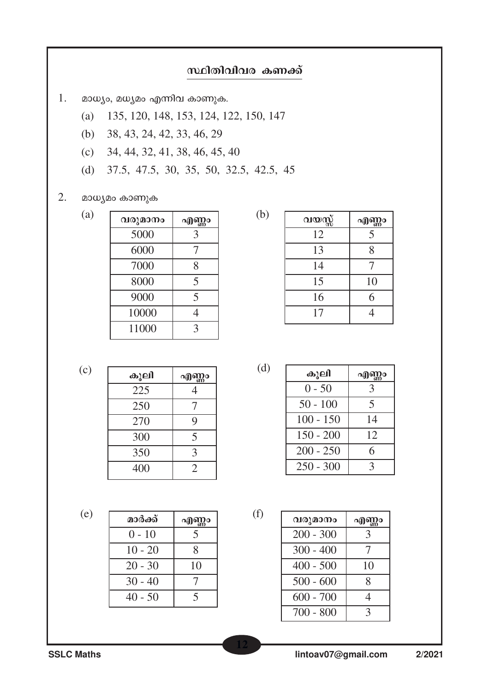### സ്ഥിതിവിവര കണക്ക്

- 1. മാധ്യം, മധ്യമം എന്നിവ കാണുക.
	- 135, 120, 148, 153, 124, 122, 150, 147  $(a)$
	- 38, 43, 24, 42, 33, 46, 29  $(b)$
	- 34, 44, 32, 41, 38, 46, 45, 40  $(c)$
	- 37.5, 47.5, 30, 35, 50, 32.5, 42.5, 45  $(d)$

#### 2. മാധ്യമം കാണുക

| (a) | വരുമാനം | എ<br>Ŋo<br>o |
|-----|---------|--------------|
|     | 5000    | 3            |
|     | 6000    |              |
|     | 7000    | 8            |
|     | 8000    | 5            |
|     | 9000    | 5            |
|     | 10000   |              |
|     | 11000   | 3            |
|     |         |              |

| <u>വയസ്സ്</u> | എണ്ണം |
|---------------|-------|
| 12            | 5     |
| 13            | 8     |
| 14            |       |
| 15            | 10    |
| 16            | 6     |
| 17            |       |

 $(c)$ 

| കൂലി | എണ്ണം          |
|------|----------------|
| 225  |                |
| 250  |                |
| 270  | 9              |
| 300  | 5              |
| 350  | 3              |
| 400  | $\overline{2}$ |

 $(d)$ 

 $(f)$ 

 $(b)$ 

| കൂലി        | എണ്ണാ |
|-------------|-------|
| $0 - 50$    | 3     |
| $50 - 100$  | 5     |
| $100 - 150$ | 14    |
| $150 - 200$ | 12    |
| $200 - 250$ | 6     |
| $250 - 300$ |       |

 $(e)$ 

| മാർക്ക്   | എണ്ണം                    |
|-----------|--------------------------|
| $0 - 10$  | $\overline{\mathcal{F}}$ |
| $10 - 20$ | 8                        |
| $20 - 30$ | 10                       |
| $30 - 40$ |                          |
| $40 - 50$ | 5                        |

| വരുമാനം     | എി<br>I)o |
|-------------|-----------|
| $200 - 300$ | 3         |
| $300 - 400$ |           |
| $400 - 500$ | 10        |
| $500 - 600$ | 8         |
| $600 - 700$ | 1         |
| $700 - 800$ | 3         |

**SSLC Maths**